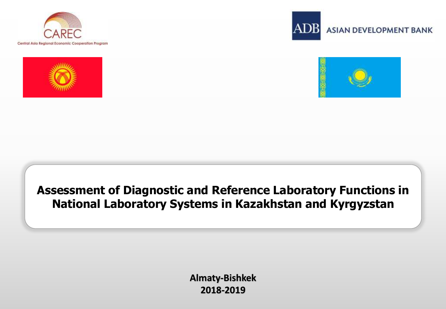







#### **Assessment of Diagnostic and Reference Laboratory Functions in National Laboratory Systems in Kazakhstan and Kyrgyzstan**

**Almaty-Bishkek 2018-2019**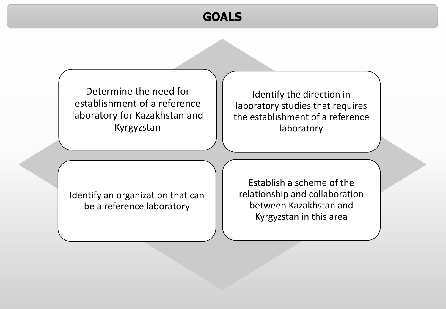#### **GOALS**

Determine the need for establishment of a reference laboratory for Kazakhstan and Kyrgyzstan

Identify the direction in laboratory studies that requires the establishment of a reference laboratory

Identify an organization that can be a reference laboratory

Establish a scheme of the relationship and collaboration between Kazakhstan and Kyrgyzstan in this area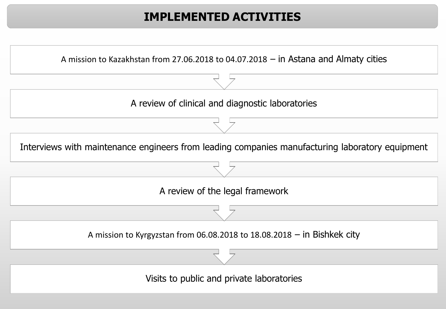## **IMPLEMENTED ACTIVITIES**

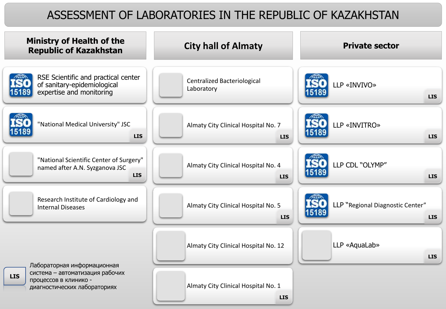#### ASSESSMENT OF LABORATORIES IN THE REPUBLIC OF KAZAKHSTAN

| <b>Ministry of Health of the</b><br><b>Republic of Kazakhstan</b>                                      | <b>City hall of Almaty</b>                        | <b>Private sector</b>                                   |  |  |  |  |
|--------------------------------------------------------------------------------------------------------|---------------------------------------------------|---------------------------------------------------------|--|--|--|--|
| RSE Scientific and practical center<br>of sanitary-epidemiological<br>expertise and monitoring         | Centralized Bacteriological<br>Laboratory         | LLP «INVIVO»<br><b>LIS</b>                              |  |  |  |  |
| "National Medical University" JSC<br><b>LIS</b>                                                        | Almaty City Clinical Hospital No. 7<br><b>LIS</b> | LLP «INVITRO»<br>15189<br><b>LIS</b>                    |  |  |  |  |
| "National Scientific Center of Surgery"<br>named after A.N. Syzganova JSC<br><b>LIS</b>                | Almaty City Clinical Hospital No. 4<br><b>LIS</b> | LLP CDL "OLYMP"<br>15189<br><b>LIS</b>                  |  |  |  |  |
| Research Institute of Cardiology and<br><b>Internal Diseases</b>                                       | Almaty City Clinical Hospital No. 5<br><b>LIS</b> | LLP "Regional Diagnostic Center"<br>15189<br><b>LIS</b> |  |  |  |  |
| Лабораторная информационная                                                                            | Almaty City Clinical Hospital No. 12              | LLP «AquaLab»<br><b>LIS</b>                             |  |  |  |  |
| система - автоматизация рабочих<br><b>LIS</b><br>процессов в клинико -<br>диагностических лабораториях | Almaty City Clinical Hospital No. 1<br><b>LIS</b> |                                                         |  |  |  |  |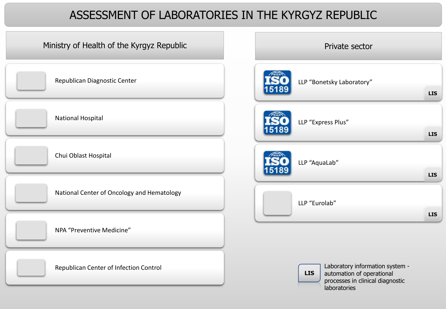#### ASSESSMENT OF LABORATORIES IN THE KYRGYZ REPUBLIC

| Ministry of Health of the Kyrgyz Republic  | Private sector                                                                                                                 |
|--------------------------------------------|--------------------------------------------------------------------------------------------------------------------------------|
| Republican Diagnostic Center               | LLP "Bonetsky Laboratory"<br><b>LIS</b>                                                                                        |
| <b>National Hospital</b>                   | LLP "Express Plus"                                                                                                             |
|                                            | <b>LIS</b>                                                                                                                     |
| Chui Oblast Hospital                       | LLP "AquaLab"<br><b>LIS</b>                                                                                                    |
| National Center of Oncology and Hematology | LLP "Eurolab"                                                                                                                  |
| NPA "Preventive Medicine"                  | <b>LIS</b>                                                                                                                     |
| Republican Center of Infection Control     | Laboratory information system -<br><b>LIS</b><br>automation of operational<br>processes in clinical diagnostic<br>laboratories |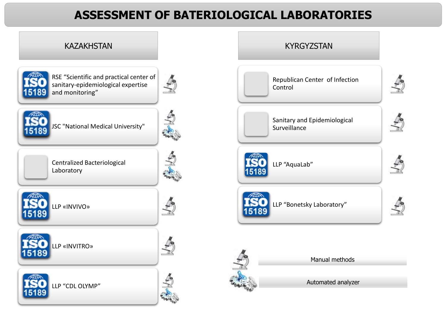## **ASSESSMENT OF BATERIOLOGICAL LABORATORIES**

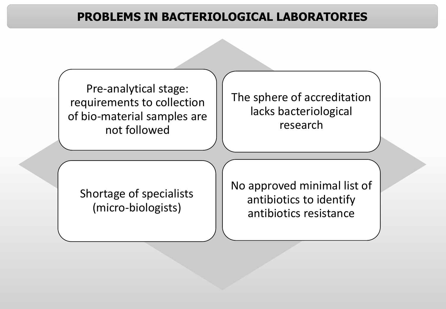#### **PROBLEMS IN BACTERIOLOGICAL LABORATORIES**

Pre-analytical stage: requirements to collection of bio-material samples are not followed

The sphere of accreditation lacks bacteriological research

Shortage of specialists (micro-biologists)

No approved minimal list of antibiotics to identify antibiotics resistance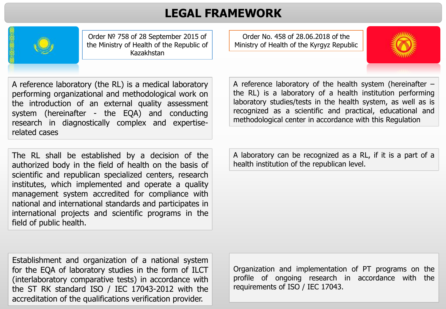#### **LEGAL FRAMEWORK**



Order № 758 of 28 September 2015 of the Ministry of Health of the Republic of Kazakhstan

Order No. 458 of 28.06.2018 of the Ministry of Health of the Kyrgyz Republic



A reference laboratory (the RL) is a medical laboratory performing organizational and methodological work on the introduction of an external quality assessment system (hereinafter - the EQA) and conducting research in diagnostically complex and expertiserelated cases

The RL shall be established by a decision of the authorized body in the field of health on the basis of scientific and republican specialized centers, research institutes, which implemented and operate a quality management system accredited for compliance with national and international standards and participates in international projects and scientific programs in the field of public health.

A reference laboratory of the health system (hereinafter – the RL) is a laboratory of a health institution performing laboratory studies/tests in the health system, as well as is recognized as a scientific and practical, educational and methodological center in accordance with this Regulation

A laboratory can be recognized as a RL, if it is a part of a health institution of the republican level.

Establishment and organization of a national system for the EQA of laboratory studies in the form of ILCT (interlaboratory comparative tests) in accordance with the ST RK standard ISO / IEC 17043-2012 with the accreditation of the qualifications verification provider.

Organization and implementation of PT programs on the profile of ongoing research in accordance with the requirements of ISO / IEC 17043.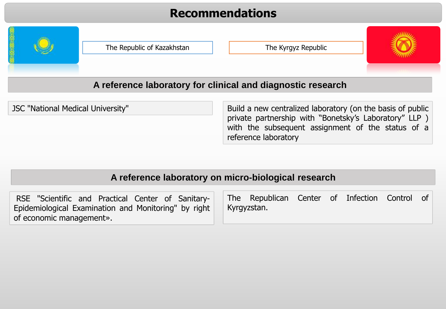#### **Recommendations**



The Republic of Kazakhstan The Kyrgyz Republic



#### **A reference laboratory for clinical and diagnostic research**

JSC "National Medical University" Build a new centralized laboratory (on the basis of public private partnership with "Bonetsky's Laboratory" LLP ) with the subsequent assignment of the status of a reference laboratory

#### **A reference laboratory on micro-biological research**

| RSE "Scientific and Practical Center of Sanitary-   The Republican Center of Infection Control of |  |             |  |  |  |
|---------------------------------------------------------------------------------------------------|--|-------------|--|--|--|
| Epidemiological Examination and Monitoring" by right                                              |  | Kyrgyzstan. |  |  |  |
| of economic management».                                                                          |  |             |  |  |  |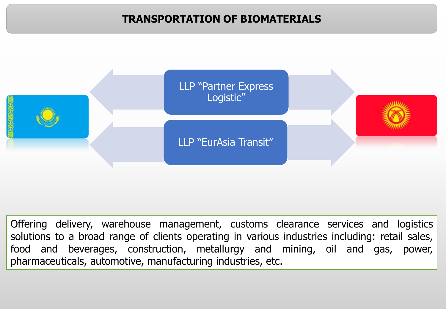#### **TRANSPORTATION OF BIOMATERIALS**



Offering delivery, warehouse management, customs clearance services and logistics solutions to a broad range of clients operating in various industries including: retail sales, food and beverages, construction, metallurgy and mining, oil and gas, power, pharmaceuticals, automotive, manufacturing industries, etc.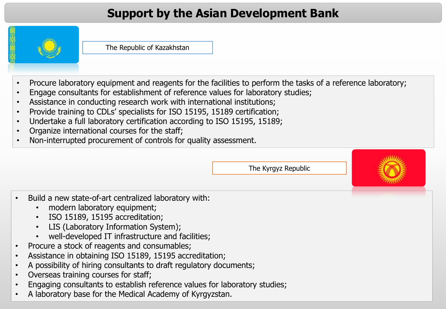## **Support by the Asian Development Bank**



The Republic of Kazakhstan

- Procure laboratory equipment and reagents for the facilities to perform the tasks of a reference laboratory;
- Engage consultants for establishment of reference values for laboratory studies;
- Assistance in conducting research work with international institutions;
- Provide training to CDLs' specialists for ISO 15195, 15189 certification;
- Undertake a full laboratory certification according to ISO 15195, 15189;
- Organize international courses for the staff;
- Non-interrupted procurement of controls for quality assessment.

The Kyrgyz Republic



- Build a new state-of-art centralized laboratory with:
	- modern laboratory equipment;
	- ISO 15189, 15195 accreditation;
	- LIS (Laboratory Information System);
	- well-developed IT infrastructure and facilities;
- Procure a stock of reagents and consumables;
- Assistance in obtaining ISO 15189, 15195 accreditation;
- A possibility of hiring consultants to draft regulatory documents;
- Overseas training courses for staff;
- Engaging consultants to establish reference values for laboratory studies;
- A laboratory base for the Medical Academy of Kyrgyzstan.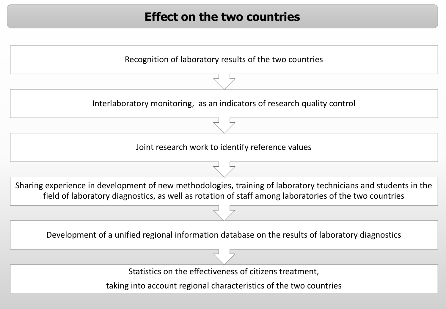#### **Effect on the two countries**